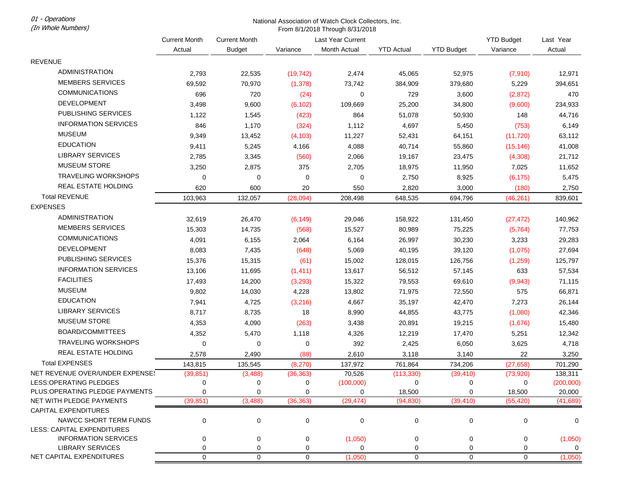01 - Operations (In Whole Numbers)

## National Association of Watch Clock Collectors, Inc. From 8/1/2018 Through 8/31/2018

|                                                             | <b>Current Month</b>     | <b>Current Month</b> | Last Year Current |              |                     |                   | <b>YTD Budget</b>   | Last Year           |
|-------------------------------------------------------------|--------------------------|----------------------|-------------------|--------------|---------------------|-------------------|---------------------|---------------------|
|                                                             | Actual                   | <b>Budget</b>        | Variance          | Month Actual | <b>YTD Actual</b>   | <b>YTD Budget</b> | Variance            | Actual              |
| <b>REVENUE</b>                                              |                          |                      |                   |              |                     |                   |                     |                     |
| <b>ADMINISTRATION</b>                                       | 2,793                    | 22,535               | (19, 742)         | 2,474        | 45,065              | 52,975            | (7, 910)            | 12,971              |
| <b>MEMBERS SERVICES</b>                                     | 69,592                   | 70,970               | (1, 378)          | 73,742       | 384,909             | 379,680           | 5,229               | 394,651             |
| <b>COMMUNICATIONS</b>                                       | 696                      | 720                  | (24)              | 0            | 729                 | 3,600             | (2,872)             | 470                 |
| <b>DEVELOPMENT</b>                                          | 3,498                    | 9,600                | (6, 102)          | 109,669      | 25,200              | 34,800            | (9,600)             | 234,933             |
| PUBLISHING SERVICES                                         | 1,122                    | 1,545                | (423)             | 864          | 51,078              | 50,930            | 148                 | 44,716              |
| <b>INFORMATION SERVICES</b>                                 | 846                      | 1,170                | (324)             | 1,112        | 4,697               | 5,450             | (753)               | 6,149               |
| <b>MUSEUM</b>                                               | 9,349                    | 13,452               | (4, 103)          | 11,227       | 52,431              |                   | (11, 720)           | 63,112              |
| <b>EDUCATION</b>                                            | 9,411                    | 5,245                | 4,166             | 4,088        | 40,714              | 64,151<br>55,860  | (15, 146)           | 41,008              |
| <b>LIBRARY SERVICES</b>                                     |                          |                      |                   |              |                     |                   |                     |                     |
| <b>MUSEUM STORE</b>                                         | 2,785                    | 3,345                | (560)             | 2,066        | 19,167              | 23,475            | (4,308)             | 21,712              |
| <b>TRAVELING WORKSHOPS</b>                                  | 3,250<br>$\mathbf 0$     | 2,875<br>0           | 375<br>0          | 2,705<br>0   | 18,975<br>2,750     | 11,950            | 7,025               | 11,652              |
| REAL ESTATE HOLDING                                         |                          |                      |                   |              |                     | 8,925             | (6, 175)            | 5,475               |
| <b>Total REVENUE</b>                                        | 620                      | 600                  | 20                | 550          | 2,820               | 3,000             | (180)               | 2,750               |
| <b>EXPENSES</b>                                             | 103,963                  | 132,057              | (28,094)          | 208,498      | 648,535             | 694,796           | (46, 261)           | 839,601             |
| <b>ADMINISTRATION</b>                                       |                          |                      |                   |              |                     |                   |                     |                     |
| <b>MEMBERS SERVICES</b>                                     | 32,619                   | 26,470               | (6, 149)          | 29,046       | 158,922             | 131,450           | (27, 472)           | 140,962             |
| <b>COMMUNICATIONS</b>                                       | 15,303                   | 14,735               | (568)             | 15,527       | 80,989              | 75,225            | (5, 764)            | 77,753              |
| DEVELOPMENT                                                 | 4,091                    | 6,155                | 2,064             | 6,164        | 26,997              | 30,230            | 3,233               | 29,283              |
| PUBLISHING SERVICES                                         | 8,083                    | 7,435                | (648)             | 5,069        | 40,195              | 39,120            | (1,075)             | 27,694              |
| <b>INFORMATION SERVICES</b>                                 | 15,376                   | 15,315               | (61)              | 15,002       | 128,015             | 126,756           | (1,259)             | 125,797             |
|                                                             | 13,106                   | 11,695               | (1, 411)          | 13,617       | 56,512              | 57,145            | 633                 | 57,534              |
| <b>FACILITIES</b>                                           | 17,493                   | 14,200               | (3, 293)          | 15,322       | 79,553              | 69,610            | (9,943)             | 71,115              |
| <b>MUSEUM</b>                                               | 9,802                    | 14,030               | 4,228             | 13,802       | 71,975              | 72,550            | 575                 | 66,871              |
| <b>EDUCATION</b>                                            | 7,941                    | 4,725                | (3, 216)          | 4,667        | 35,197              | 42,470            | 7,273               | 26,144              |
| <b>LIBRARY SERVICES</b>                                     | 8,717                    | 8,735                | 18                | 8,990        | 44,855              | 43,775            | (1,080)             | 42,346              |
| <b>MUSEUM STORE</b>                                         | 4,353                    | 4,090                | (263)             | 3,438        | 20,891              | 19,215            | (1,676)             | 15,480              |
| BOARD/COMMITTEES                                            | 4,352                    | 5,470                | 1,118             | 4,326        | 12,219              | 17,470            | 5,251               | 12,342              |
| <b>TRAVELING WORKSHOPS</b>                                  | 0                        | 0                    | 0                 | 392          | 2,425               | 6,050             | 3,625               | 4,718               |
| REAL ESTATE HOLDING                                         | 2,578                    | 2,490                | (88)              | 2,610        | 3,118               | 3,140             | 22                  | 3,250               |
| <b>Total EXPENSES</b>                                       | 143,815                  | 135,545              | (8,270)           | 137,972      | 761,864             | 734,206           | (27, 658)           | 701,290             |
| NET REVENUE OVER/UNDER EXPENSE!                             | (39, 851)                | (3, 488)             | (36, 363)         | 70,526       | (113, 330)          | (39, 410)         | (73, 920)           | 138,311             |
| <b>LESS:OPERATING PLEDGES</b>                               | 0                        | 0                    | 0                 | (100,000)    | 0                   | 0                 | 0                   | (200,000)           |
| PLUS: OPERATING PLEDGE PAYMENTS<br>NET WITH PLEDGE PAYMENTS | $\mathbf 0$<br>(39, 851) | 0<br>(3, 488)        | 0<br>(36, 363)    | (29, 474)    | 18,500<br>(94, 830) | 0<br>(39, 410)    | 18,500<br>(55, 420) | 20,000<br>(41, 689) |
| <b>CAPITAL EXPENDITURES</b>                                 |                          |                      |                   |              |                     |                   |                     |                     |
| NAWCC SHORT TERM FUNDS                                      | 0                        | 0                    | 0                 | 0            | 0                   | $\pmb{0}$         | 0                   | 0                   |
| LESS: CAPITAL EXPENDITURES                                  |                          |                      |                   |              |                     |                   |                     |                     |
| <b>INFORMATION SERVICES</b>                                 | 0                        | 0                    | 0                 | (1,050)      | 0                   | 0                 | 0                   | (1,050)             |
| <b>LIBRARY SERVICES</b>                                     | 0                        | 0                    | 0                 | 0            | 0                   | 0                 | 0                   | 0                   |
| NET CAPITAL EXPENDITURES                                    | 0                        | $\mathbf 0$          | 0                 | (1,050)      | 0                   | 0                 | 0                   | (1,050)             |